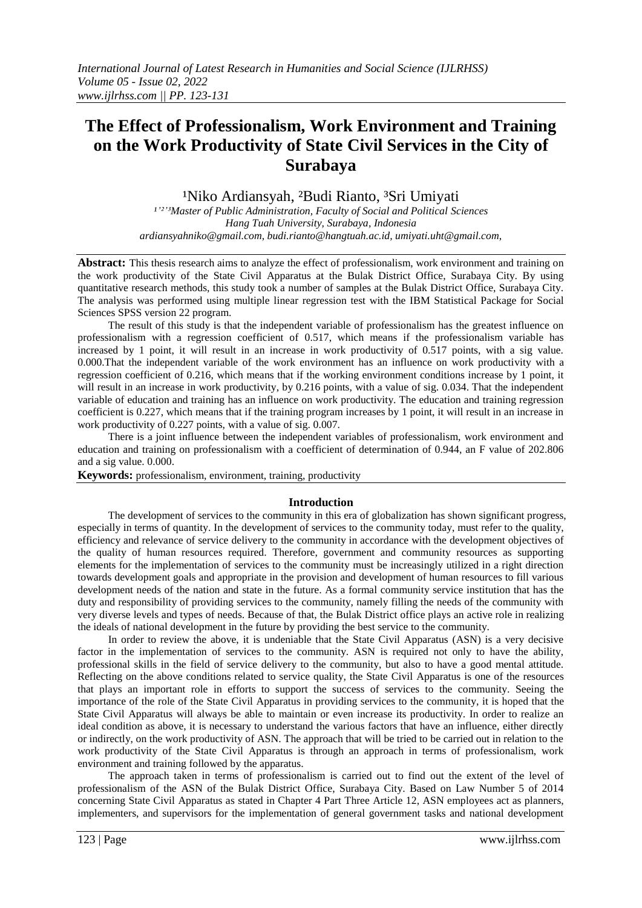# **The Effect of Professionalism, Work Environment and Training on the Work Productivity of State Civil Services in the City of Surabaya**

<sup>1</sup>Niko Ardiansyah, <sup>2</sup>Budi Rianto, <sup>3</sup>Sri Umiyati

*¹'²'³Master of Public Administration, Faculty of Social and Political Sciences Hang Tuah University, Surabaya, Indonesia ardiansyahniko@gmail.com, budi.rianto@hangtuah.ac.id, umiyati.uht@gmail.com,*

**Abstract:** This thesis research aims to analyze the effect of professionalism, work environment and training on the work productivity of the State Civil Apparatus at the Bulak District Office, Surabaya City. By using quantitative research methods, this study took a number of samples at the Bulak District Office, Surabaya City. The analysis was performed using multiple linear regression test with the IBM Statistical Package for Social Sciences SPSS version 22 program.

The result of this study is that the independent variable of professionalism has the greatest influence on professionalism with a regression coefficient of 0.517, which means if the professionalism variable has increased by 1 point, it will result in an increase in work productivity of 0.517 points, with a sig value. 0.000.That the independent variable of the work environment has an influence on work productivity with a regression coefficient of 0.216, which means that if the working environment conditions increase by 1 point, it will result in an increase in work productivity, by 0.216 points, with a value of sig. 0.034. That the independent variable of education and training has an influence on work productivity. The education and training regression coefficient is 0.227, which means that if the training program increases by 1 point, it will result in an increase in work productivity of 0.227 points, with a value of sig. 0.007.

There is a joint influence between the independent variables of professionalism, work environment and education and training on professionalism with a coefficient of determination of 0.944, an F value of 202.806 and a sig value. 0.000.

**Keywords:** professionalism, environment, training, productivity

## **Introduction**

The development of services to the community in this era of globalization has shown significant progress, especially in terms of quantity. In the development of services to the community today, must refer to the quality, efficiency and relevance of service delivery to the community in accordance with the development objectives of the quality of human resources required. Therefore, government and community resources as supporting elements for the implementation of services to the community must be increasingly utilized in a right direction towards development goals and appropriate in the provision and development of human resources to fill various development needs of the nation and state in the future. As a formal community service institution that has the duty and responsibility of providing services to the community, namely filling the needs of the community with very diverse levels and types of needs. Because of that, the Bulak District office plays an active role in realizing the ideals of national development in the future by providing the best service to the community.

In order to review the above, it is undeniable that the State Civil Apparatus (ASN) is a very decisive factor in the implementation of services to the community. ASN is required not only to have the ability, professional skills in the field of service delivery to the community, but also to have a good mental attitude. Reflecting on the above conditions related to service quality, the State Civil Apparatus is one of the resources that plays an important role in efforts to support the success of services to the community. Seeing the importance of the role of the State Civil Apparatus in providing services to the community, it is hoped that the State Civil Apparatus will always be able to maintain or even increase its productivity. In order to realize an ideal condition as above, it is necessary to understand the various factors that have an influence, either directly or indirectly, on the work productivity of ASN. The approach that will be tried to be carried out in relation to the work productivity of the State Civil Apparatus is through an approach in terms of professionalism, work environment and training followed by the apparatus.

The approach taken in terms of professionalism is carried out to find out the extent of the level of professionalism of the ASN of the Bulak District Office, Surabaya City. Based on Law Number 5 of 2014 concerning State Civil Apparatus as stated in Chapter 4 Part Three Article 12, ASN employees act as planners, implementers, and supervisors for the implementation of general government tasks and national development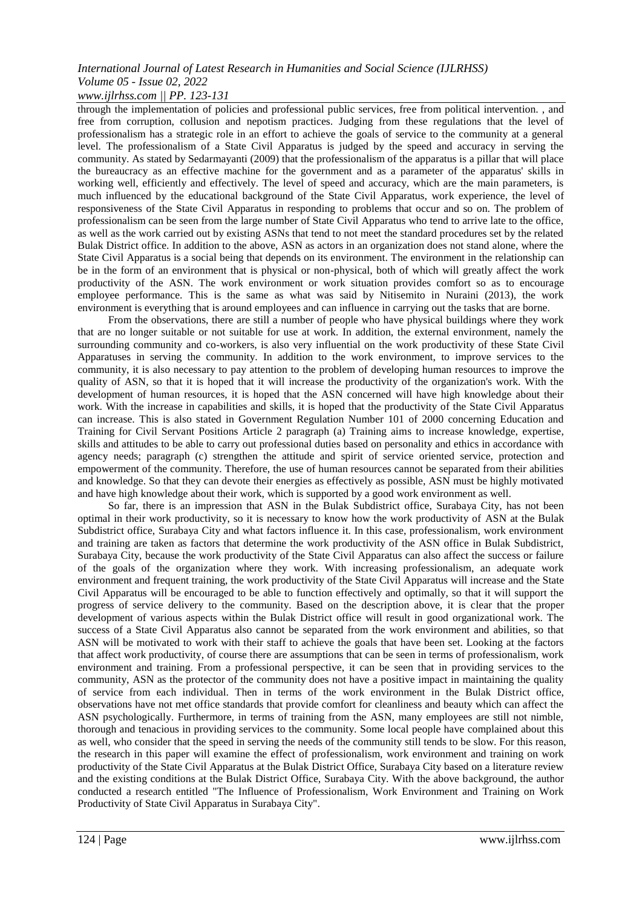*www.ijlrhss.com || PP. 123-131*

through the implementation of policies and professional public services, free from political intervention. , and free from corruption, collusion and nepotism practices. Judging from these regulations that the level of professionalism has a strategic role in an effort to achieve the goals of service to the community at a general level. The professionalism of a State Civil Apparatus is judged by the speed and accuracy in serving the community. As stated by Sedarmayanti (2009) that the professionalism of the apparatus is a pillar that will place the bureaucracy as an effective machine for the government and as a parameter of the apparatus' skills in working well, efficiently and effectively. The level of speed and accuracy, which are the main parameters, is much influenced by the educational background of the State Civil Apparatus, work experience, the level of responsiveness of the State Civil Apparatus in responding to problems that occur and so on. The problem of professionalism can be seen from the large number of State Civil Apparatus who tend to arrive late to the office, as well as the work carried out by existing ASNs that tend to not meet the standard procedures set by the related Bulak District office. In addition to the above, ASN as actors in an organization does not stand alone, where the State Civil Apparatus is a social being that depends on its environment. The environment in the relationship can be in the form of an environment that is physical or non-physical, both of which will greatly affect the work productivity of the ASN. The work environment or work situation provides comfort so as to encourage employee performance. This is the same as what was said by Nitisemito in Nuraini (2013), the work environment is everything that is around employees and can influence in carrying out the tasks that are borne.

From the observations, there are still a number of people who have physical buildings where they work that are no longer suitable or not suitable for use at work. In addition, the external environment, namely the surrounding community and co-workers, is also very influential on the work productivity of these State Civil Apparatuses in serving the community. In addition to the work environment, to improve services to the community, it is also necessary to pay attention to the problem of developing human resources to improve the quality of ASN, so that it is hoped that it will increase the productivity of the organization's work. With the development of human resources, it is hoped that the ASN concerned will have high knowledge about their work. With the increase in capabilities and skills, it is hoped that the productivity of the State Civil Apparatus can increase. This is also stated in Government Regulation Number 101 of 2000 concerning Education and Training for Civil Servant Positions Article 2 paragraph (a) Training aims to increase knowledge, expertise, skills and attitudes to be able to carry out professional duties based on personality and ethics in accordance with agency needs; paragraph (c) strengthen the attitude and spirit of service oriented service, protection and empowerment of the community. Therefore, the use of human resources cannot be separated from their abilities and knowledge. So that they can devote their energies as effectively as possible, ASN must be highly motivated and have high knowledge about their work, which is supported by a good work environment as well.

So far, there is an impression that ASN in the Bulak Subdistrict office, Surabaya City, has not been optimal in their work productivity, so it is necessary to know how the work productivity of ASN at the Bulak Subdistrict office, Surabaya City and what factors influence it. In this case, professionalism, work environment and training are taken as factors that determine the work productivity of the ASN office in Bulak Subdistrict, Surabaya City, because the work productivity of the State Civil Apparatus can also affect the success or failure of the goals of the organization where they work. With increasing professionalism, an adequate work environment and frequent training, the work productivity of the State Civil Apparatus will increase and the State Civil Apparatus will be encouraged to be able to function effectively and optimally, so that it will support the progress of service delivery to the community. Based on the description above, it is clear that the proper development of various aspects within the Bulak District office will result in good organizational work. The success of a State Civil Apparatus also cannot be separated from the work environment and abilities, so that ASN will be motivated to work with their staff to achieve the goals that have been set. Looking at the factors that affect work productivity, of course there are assumptions that can be seen in terms of professionalism, work environment and training. From a professional perspective, it can be seen that in providing services to the community, ASN as the protector of the community does not have a positive impact in maintaining the quality of service from each individual. Then in terms of the work environment in the Bulak District office, observations have not met office standards that provide comfort for cleanliness and beauty which can affect the ASN psychologically. Furthermore, in terms of training from the ASN, many employees are still not nimble, thorough and tenacious in providing services to the community. Some local people have complained about this as well, who consider that the speed in serving the needs of the community still tends to be slow. For this reason, the research in this paper will examine the effect of professionalism, work environment and training on work productivity of the State Civil Apparatus at the Bulak District Office, Surabaya City based on a literature review and the existing conditions at the Bulak District Office, Surabaya City. With the above background, the author conducted a research entitled "The Influence of Professionalism, Work Environment and Training on Work Productivity of State Civil Apparatus in Surabaya City".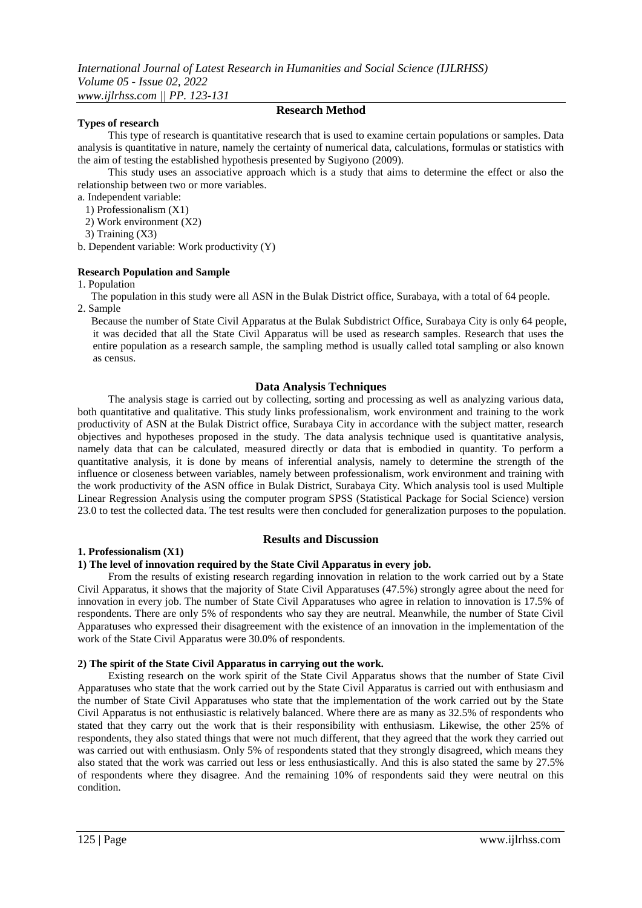## **Types of research**

## **Research Method**

This type of research is quantitative research that is used to examine certain populations or samples. Data analysis is quantitative in nature, namely the certainty of numerical data, calculations, formulas or statistics with the aim of testing the established hypothesis presented by Sugiyono (2009).

This study uses an associative approach which is a study that aims to determine the effect or also the relationship between two or more variables.

a. Independent variable:

- 1) Professionalism (X1)
- 2) Work environment (X2)

3) Training (X3)

b. Dependent variable: Work productivity (Y)

## **Research Population and Sample**

1. Population

 The population in this study were all ASN in the Bulak District office, Surabaya, with a total of 64 people. 2. Sample

 Because the number of State Civil Apparatus at the Bulak Subdistrict Office, Surabaya City is only 64 people, it was decided that all the State Civil Apparatus will be used as research samples. Research that uses the entire population as a research sample, the sampling method is usually called total sampling or also known as census.

## **Data Analysis Techniques**

The analysis stage is carried out by collecting, sorting and processing as well as analyzing various data, both quantitative and qualitative. This study links professionalism, work environment and training to the work productivity of ASN at the Bulak District office, Surabaya City in accordance with the subject matter, research objectives and hypotheses proposed in the study. The data analysis technique used is quantitative analysis, namely data that can be calculated, measured directly or data that is embodied in quantity. To perform a quantitative analysis, it is done by means of inferential analysis, namely to determine the strength of the influence or closeness between variables, namely between professionalism, work environment and training with the work productivity of the ASN office in Bulak District, Surabaya City. Which analysis tool is used Multiple Linear Regression Analysis using the computer program SPSS (Statistical Package for Social Science) version 23.0 to test the collected data. The test results were then concluded for generalization purposes to the population.

## **1. Professionalism (X1)**

## **Results and Discussion**

## **1) The level of innovation required by the State Civil Apparatus in every job.**

From the results of existing research regarding innovation in relation to the work carried out by a State Civil Apparatus, it shows that the majority of State Civil Apparatuses (47.5%) strongly agree about the need for innovation in every job. The number of State Civil Apparatuses who agree in relation to innovation is 17.5% of respondents. There are only 5% of respondents who say they are neutral. Meanwhile, the number of State Civil Apparatuses who expressed their disagreement with the existence of an innovation in the implementation of the work of the State Civil Apparatus were 30.0% of respondents.

## **2) The spirit of the State Civil Apparatus in carrying out the work.**

Existing research on the work spirit of the State Civil Apparatus shows that the number of State Civil Apparatuses who state that the work carried out by the State Civil Apparatus is carried out with enthusiasm and the number of State Civil Apparatuses who state that the implementation of the work carried out by the State Civil Apparatus is not enthusiastic is relatively balanced. Where there are as many as 32.5% of respondents who stated that they carry out the work that is their responsibility with enthusiasm. Likewise, the other 25% of respondents, they also stated things that were not much different, that they agreed that the work they carried out was carried out with enthusiasm. Only 5% of respondents stated that they strongly disagreed, which means they also stated that the work was carried out less or less enthusiastically. And this is also stated the same by 27.5% of respondents where they disagree. And the remaining 10% of respondents said they were neutral on this condition.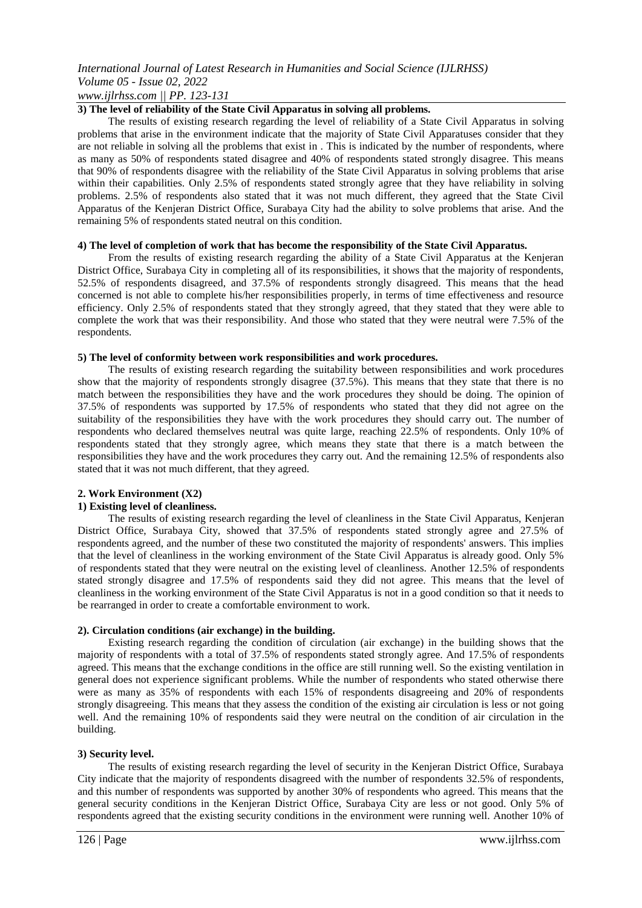*www.ijlrhss.com || PP. 123-131*

## **3) The level of reliability of the State Civil Apparatus in solving all problems.**

The results of existing research regarding the level of reliability of a State Civil Apparatus in solving problems that arise in the environment indicate that the majority of State Civil Apparatuses consider that they are not reliable in solving all the problems that exist in . This is indicated by the number of respondents, where as many as 50% of respondents stated disagree and 40% of respondents stated strongly disagree. This means that 90% of respondents disagree with the reliability of the State Civil Apparatus in solving problems that arise within their capabilities. Only 2.5% of respondents stated strongly agree that they have reliability in solving problems. 2.5% of respondents also stated that it was not much different, they agreed that the State Civil Apparatus of the Kenjeran District Office, Surabaya City had the ability to solve problems that arise. And the remaining 5% of respondents stated neutral on this condition.

#### **4) The level of completion of work that has become the responsibility of the State Civil Apparatus.**

From the results of existing research regarding the ability of a State Civil Apparatus at the Kenjeran District Office, Surabaya City in completing all of its responsibilities, it shows that the majority of respondents, 52.5% of respondents disagreed, and 37.5% of respondents strongly disagreed. This means that the head concerned is not able to complete his/her responsibilities properly, in terms of time effectiveness and resource efficiency. Only 2.5% of respondents stated that they strongly agreed, that they stated that they were able to complete the work that was their responsibility. And those who stated that they were neutral were 7.5% of the respondents.

#### **5) The level of conformity between work responsibilities and work procedures.**

The results of existing research regarding the suitability between responsibilities and work procedures show that the majority of respondents strongly disagree (37.5%). This means that they state that there is no match between the responsibilities they have and the work procedures they should be doing. The opinion of 37.5% of respondents was supported by 17.5% of respondents who stated that they did not agree on the suitability of the responsibilities they have with the work procedures they should carry out. The number of respondents who declared themselves neutral was quite large, reaching 22.5% of respondents. Only 10% of respondents stated that they strongly agree, which means they state that there is a match between the responsibilities they have and the work procedures they carry out. And the remaining 12.5% of respondents also stated that it was not much different, that they agreed.

## **2. Work Environment (X2)**

#### **1) Existing level of cleanliness.**

The results of existing research regarding the level of cleanliness in the State Civil Apparatus, Kenjeran District Office, Surabaya City, showed that 37.5% of respondents stated strongly agree and 27.5% of respondents agreed, and the number of these two constituted the majority of respondents' answers. This implies that the level of cleanliness in the working environment of the State Civil Apparatus is already good. Only 5% of respondents stated that they were neutral on the existing level of cleanliness. Another 12.5% of respondents stated strongly disagree and 17.5% of respondents said they did not agree. This means that the level of cleanliness in the working environment of the State Civil Apparatus is not in a good condition so that it needs to be rearranged in order to create a comfortable environment to work.

#### **2). Circulation conditions (air exchange) in the building.**

Existing research regarding the condition of circulation (air exchange) in the building shows that the majority of respondents with a total of 37.5% of respondents stated strongly agree. And 17.5% of respondents agreed. This means that the exchange conditions in the office are still running well. So the existing ventilation in general does not experience significant problems. While the number of respondents who stated otherwise there were as many as 35% of respondents with each 15% of respondents disagreeing and 20% of respondents strongly disagreeing. This means that they assess the condition of the existing air circulation is less or not going well. And the remaining 10% of respondents said they were neutral on the condition of air circulation in the building.

## **3) Security level.**

The results of existing research regarding the level of security in the Kenjeran District Office, Surabaya City indicate that the majority of respondents disagreed with the number of respondents 32.5% of respondents, and this number of respondents was supported by another 30% of respondents who agreed. This means that the general security conditions in the Kenjeran District Office, Surabaya City are less or not good. Only 5% of respondents agreed that the existing security conditions in the environment were running well. Another 10% of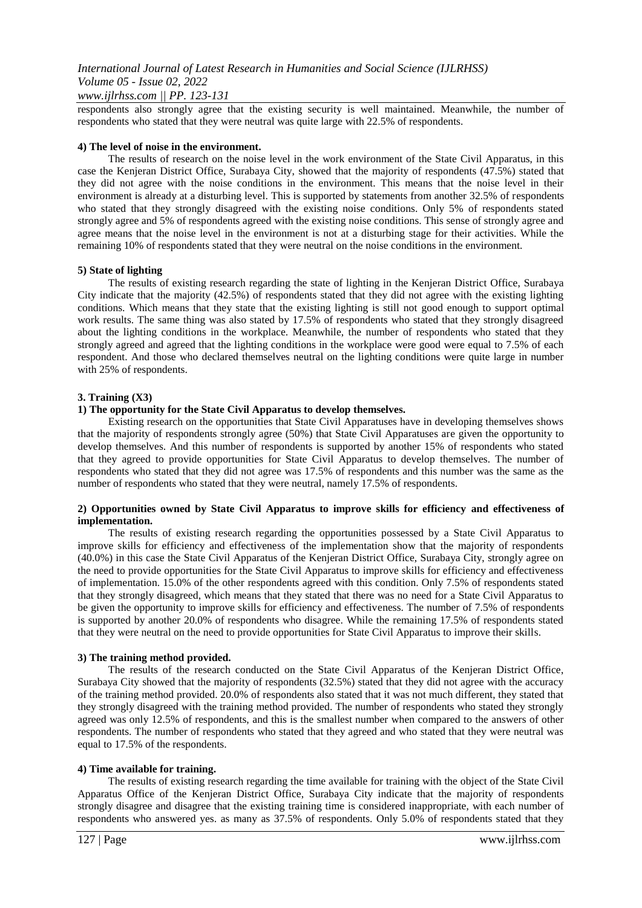#### *www.ijlrhss.com || PP. 123-131*

respondents also strongly agree that the existing security is well maintained. Meanwhile, the number of respondents who stated that they were neutral was quite large with 22.5% of respondents.

#### **4) The level of noise in the environment.**

The results of research on the noise level in the work environment of the State Civil Apparatus, in this case the Kenjeran District Office, Surabaya City, showed that the majority of respondents (47.5%) stated that they did not agree with the noise conditions in the environment. This means that the noise level in their environment is already at a disturbing level. This is supported by statements from another 32.5% of respondents who stated that they strongly disagreed with the existing noise conditions. Only 5% of respondents stated strongly agree and 5% of respondents agreed with the existing noise conditions. This sense of strongly agree and agree means that the noise level in the environment is not at a disturbing stage for their activities. While the remaining 10% of respondents stated that they were neutral on the noise conditions in the environment.

#### **5) State of lighting**

The results of existing research regarding the state of lighting in the Kenjeran District Office, Surabaya City indicate that the majority (42.5%) of respondents stated that they did not agree with the existing lighting conditions. Which means that they state that the existing lighting is still not good enough to support optimal work results. The same thing was also stated by 17.5% of respondents who stated that they strongly disagreed about the lighting conditions in the workplace. Meanwhile, the number of respondents who stated that they strongly agreed and agreed that the lighting conditions in the workplace were good were equal to 7.5% of each respondent. And those who declared themselves neutral on the lighting conditions were quite large in number with 25% of respondents.

#### **3. Training (X3)**

#### **1) The opportunity for the State Civil Apparatus to develop themselves.**

Existing research on the opportunities that State Civil Apparatuses have in developing themselves shows that the majority of respondents strongly agree (50%) that State Civil Apparatuses are given the opportunity to develop themselves. And this number of respondents is supported by another 15% of respondents who stated that they agreed to provide opportunities for State Civil Apparatus to develop themselves. The number of respondents who stated that they did not agree was 17.5% of respondents and this number was the same as the number of respondents who stated that they were neutral, namely 17.5% of respondents.

#### **2) Opportunities owned by State Civil Apparatus to improve skills for efficiency and effectiveness of implementation.**

The results of existing research regarding the opportunities possessed by a State Civil Apparatus to improve skills for efficiency and effectiveness of the implementation show that the majority of respondents (40.0%) in this case the State Civil Apparatus of the Kenjeran District Office, Surabaya City, strongly agree on the need to provide opportunities for the State Civil Apparatus to improve skills for efficiency and effectiveness of implementation. 15.0% of the other respondents agreed with this condition. Only 7.5% of respondents stated that they strongly disagreed, which means that they stated that there was no need for a State Civil Apparatus to be given the opportunity to improve skills for efficiency and effectiveness. The number of 7.5% of respondents is supported by another 20.0% of respondents who disagree. While the remaining 17.5% of respondents stated that they were neutral on the need to provide opportunities for State Civil Apparatus to improve their skills.

#### **3) The training method provided.**

The results of the research conducted on the State Civil Apparatus of the Kenjeran District Office, Surabaya City showed that the majority of respondents (32.5%) stated that they did not agree with the accuracy of the training method provided. 20.0% of respondents also stated that it was not much different, they stated that they strongly disagreed with the training method provided. The number of respondents who stated they strongly agreed was only 12.5% of respondents, and this is the smallest number when compared to the answers of other respondents. The number of respondents who stated that they agreed and who stated that they were neutral was equal to 17.5% of the respondents.

#### **4) Time available for training.**

The results of existing research regarding the time available for training with the object of the State Civil Apparatus Office of the Kenjeran District Office, Surabaya City indicate that the majority of respondents strongly disagree and disagree that the existing training time is considered inappropriate, with each number of respondents who answered yes. as many as 37.5% of respondents. Only 5.0% of respondents stated that they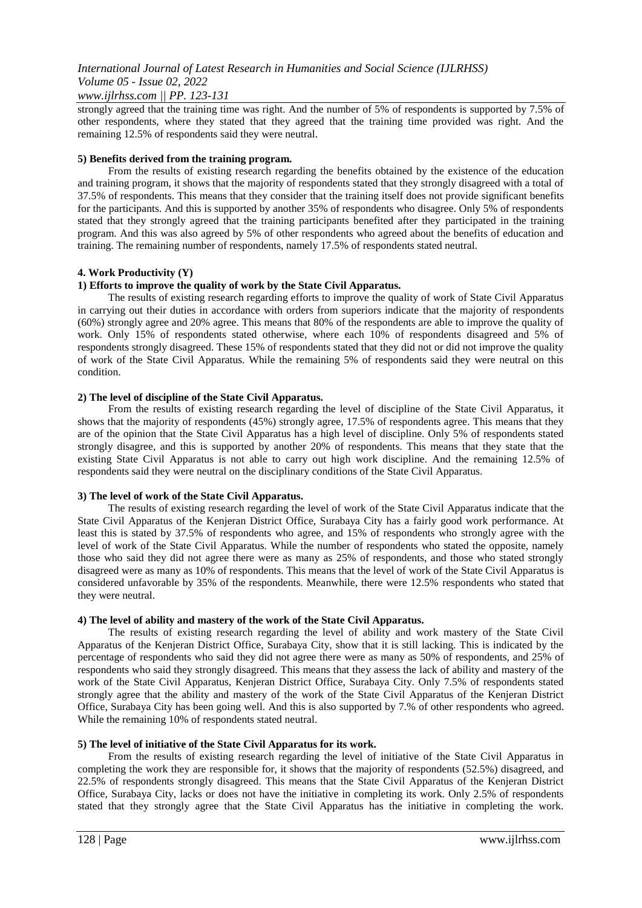## *www.ijlrhss.com || PP. 123-131*

strongly agreed that the training time was right. And the number of 5% of respondents is supported by 7.5% of other respondents, where they stated that they agreed that the training time provided was right. And the remaining 12.5% of respondents said they were neutral.

#### **5) Benefits derived from the training program.**

From the results of existing research regarding the benefits obtained by the existence of the education and training program, it shows that the majority of respondents stated that they strongly disagreed with a total of 37.5% of respondents. This means that they consider that the training itself does not provide significant benefits for the participants. And this is supported by another 35% of respondents who disagree. Only 5% of respondents stated that they strongly agreed that the training participants benefited after they participated in the training program. And this was also agreed by 5% of other respondents who agreed about the benefits of education and training. The remaining number of respondents, namely 17.5% of respondents stated neutral.

#### **4. Work Productivity (Y)**

#### **1) Efforts to improve the quality of work by the State Civil Apparatus.**

The results of existing research regarding efforts to improve the quality of work of State Civil Apparatus in carrying out their duties in accordance with orders from superiors indicate that the majority of respondents (60%) strongly agree and 20% agree. This means that 80% of the respondents are able to improve the quality of work. Only 15% of respondents stated otherwise, where each 10% of respondents disagreed and 5% of respondents strongly disagreed. These 15% of respondents stated that they did not or did not improve the quality of work of the State Civil Apparatus. While the remaining 5% of respondents said they were neutral on this condition.

#### **2) The level of discipline of the State Civil Apparatus.**

From the results of existing research regarding the level of discipline of the State Civil Apparatus, it shows that the majority of respondents (45%) strongly agree, 17.5% of respondents agree. This means that they are of the opinion that the State Civil Apparatus has a high level of discipline. Only 5% of respondents stated strongly disagree, and this is supported by another 20% of respondents. This means that they state that the existing State Civil Apparatus is not able to carry out high work discipline. And the remaining 12.5% of respondents said they were neutral on the disciplinary conditions of the State Civil Apparatus.

#### **3) The level of work of the State Civil Apparatus.**

The results of existing research regarding the level of work of the State Civil Apparatus indicate that the State Civil Apparatus of the Kenjeran District Office, Surabaya City has a fairly good work performance. At least this is stated by 37.5% of respondents who agree, and 15% of respondents who strongly agree with the level of work of the State Civil Apparatus. While the number of respondents who stated the opposite, namely those who said they did not agree there were as many as 25% of respondents, and those who stated strongly disagreed were as many as 10% of respondents. This means that the level of work of the State Civil Apparatus is considered unfavorable by 35% of the respondents. Meanwhile, there were 12.5% respondents who stated that they were neutral.

#### **4) The level of ability and mastery of the work of the State Civil Apparatus.**

The results of existing research regarding the level of ability and work mastery of the State Civil Apparatus of the Kenjeran District Office, Surabaya City, show that it is still lacking. This is indicated by the percentage of respondents who said they did not agree there were as many as 50% of respondents, and 25% of respondents who said they strongly disagreed. This means that they assess the lack of ability and mastery of the work of the State Civil Apparatus, Kenjeran District Office, Surabaya City. Only 7.5% of respondents stated strongly agree that the ability and mastery of the work of the State Civil Apparatus of the Kenjeran District Office, Surabaya City has been going well. And this is also supported by 7.% of other respondents who agreed. While the remaining 10% of respondents stated neutral.

#### **5) The level of initiative of the State Civil Apparatus for its work.**

From the results of existing research regarding the level of initiative of the State Civil Apparatus in completing the work they are responsible for, it shows that the majority of respondents (52.5%) disagreed, and 22.5% of respondents strongly disagreed. This means that the State Civil Apparatus of the Kenjeran District Office, Surabaya City, lacks or does not have the initiative in completing its work. Only 2.5% of respondents stated that they strongly agree that the State Civil Apparatus has the initiative in completing the work.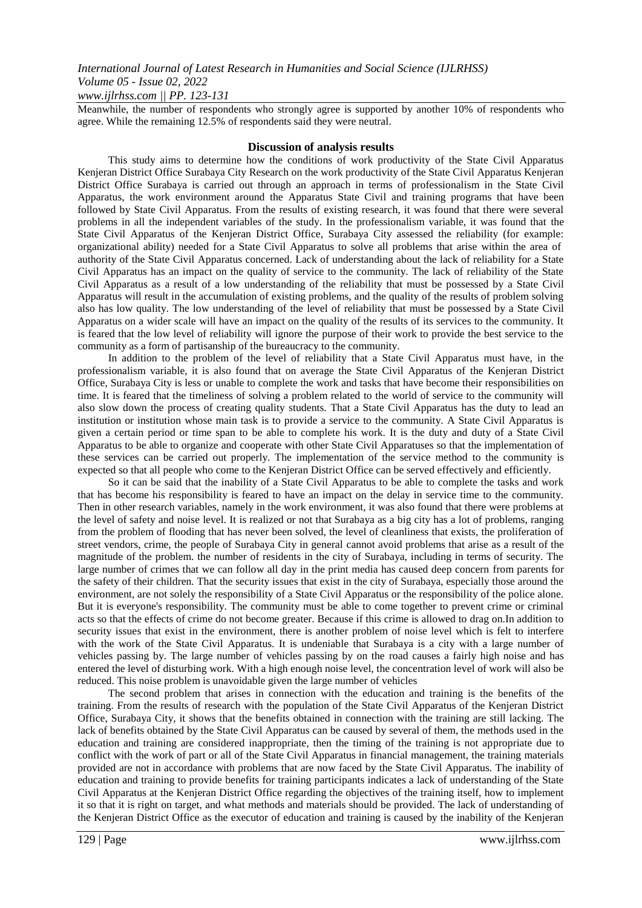#### *www.ijlrhss.com || PP. 123-131*

Meanwhile, the number of respondents who strongly agree is supported by another 10% of respondents who agree. While the remaining 12.5% of respondents said they were neutral.

#### **Discussion of analysis results**

This study aims to determine how the conditions of work productivity of the State Civil Apparatus Kenjeran District Office Surabaya City Research on the work productivity of the State Civil Apparatus Kenjeran District Office Surabaya is carried out through an approach in terms of professionalism in the State Civil Apparatus, the work environment around the Apparatus State Civil and training programs that have been followed by State Civil Apparatus. From the results of existing research, it was found that there were several problems in all the independent variables of the study. In the professionalism variable, it was found that the State Civil Apparatus of the Kenjeran District Office, Surabaya City assessed the reliability (for example: organizational ability) needed for a State Civil Apparatus to solve all problems that arise within the area of authority of the State Civil Apparatus concerned. Lack of understanding about the lack of reliability for a State Civil Apparatus has an impact on the quality of service to the community. The lack of reliability of the State Civil Apparatus as a result of a low understanding of the reliability that must be possessed by a State Civil Apparatus will result in the accumulation of existing problems, and the quality of the results of problem solving also has low quality. The low understanding of the level of reliability that must be possessed by a State Civil Apparatus on a wider scale will have an impact on the quality of the results of its services to the community. It is feared that the low level of reliability will ignore the purpose of their work to provide the best service to the community as a form of partisanship of the bureaucracy to the community.

In addition to the problem of the level of reliability that a State Civil Apparatus must have, in the professionalism variable, it is also found that on average the State Civil Apparatus of the Kenjeran District Office, Surabaya City is less or unable to complete the work and tasks that have become their responsibilities on time. It is feared that the timeliness of solving a problem related to the world of service to the community will also slow down the process of creating quality students. That a State Civil Apparatus has the duty to lead an institution or institution whose main task is to provide a service to the community. A State Civil Apparatus is given a certain period or time span to be able to complete his work. It is the duty and duty of a State Civil Apparatus to be able to organize and cooperate with other State Civil Apparatuses so that the implementation of these services can be carried out properly. The implementation of the service method to the community is expected so that all people who come to the Kenjeran District Office can be served effectively and efficiently.

So it can be said that the inability of a State Civil Apparatus to be able to complete the tasks and work that has become his responsibility is feared to have an impact on the delay in service time to the community. Then in other research variables, namely in the work environment, it was also found that there were problems at the level of safety and noise level. It is realized or not that Surabaya as a big city has a lot of problems, ranging from the problem of flooding that has never been solved, the level of cleanliness that exists, the proliferation of street vendors, crime, the people of Surabaya City in general cannot avoid problems that arise as a result of the magnitude of the problem. the number of residents in the city of Surabaya, including in terms of security. The large number of crimes that we can follow all day in the print media has caused deep concern from parents for the safety of their children. That the security issues that exist in the city of Surabaya, especially those around the environment, are not solely the responsibility of a State Civil Apparatus or the responsibility of the police alone. But it is everyone's responsibility. The community must be able to come together to prevent crime or criminal acts so that the effects of crime do not become greater. Because if this crime is allowed to drag on.In addition to security issues that exist in the environment, there is another problem of noise level which is felt to interfere with the work of the State Civil Apparatus. It is undeniable that Surabaya is a city with a large number of vehicles passing by. The large number of vehicles passing by on the road causes a fairly high noise and has entered the level of disturbing work. With a high enough noise level, the concentration level of work will also be reduced. This noise problem is unavoidable given the large number of vehicles

The second problem that arises in connection with the education and training is the benefits of the training. From the results of research with the population of the State Civil Apparatus of the Kenjeran District Office, Surabaya City, it shows that the benefits obtained in connection with the training are still lacking. The lack of benefits obtained by the State Civil Apparatus can be caused by several of them, the methods used in the education and training are considered inappropriate, then the timing of the training is not appropriate due to conflict with the work of part or all of the State Civil Apparatus in financial management, the training materials provided are not in accordance with problems that are now faced by the State Civil Apparatus. The inability of education and training to provide benefits for training participants indicates a lack of understanding of the State Civil Apparatus at the Kenjeran District Office regarding the objectives of the training itself, how to implement it so that it is right on target, and what methods and materials should be provided. The lack of understanding of the Kenjeran District Office as the executor of education and training is caused by the inability of the Kenjeran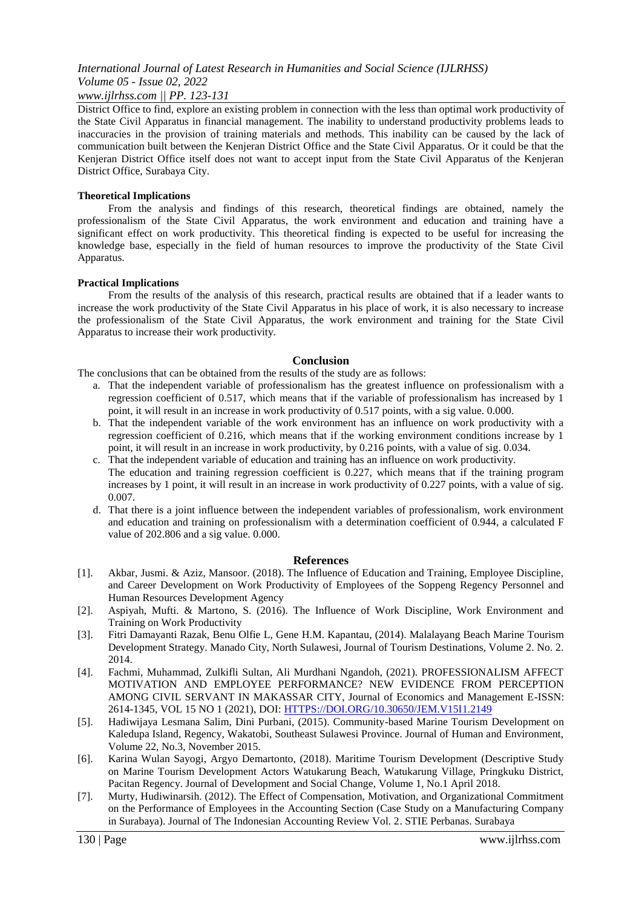#### *www.ijlrhss.com || PP. 123-131*

District Office to find, explore an existing problem in connection with the less than optimal work productivity of the State Civil Apparatus in financial management. The inability to understand productivity problems leads to inaccuracies in the provision of training materials and methods. This inability can be caused by the lack of communication built between the Kenjeran District Office and the State Civil Apparatus. Or it could be that the Kenjeran District Office itself does not want to accept input from the State Civil Apparatus of the Kenjeran District Office, Surabaya City.

#### **Theoretical Implications**

From the analysis and findings of this research, theoretical findings are obtained, namely the professionalism of the State Civil Apparatus, the work environment and education and training have a significant effect on work productivity. This theoretical finding is expected to be useful for increasing the knowledge base, especially in the field of human resources to improve the productivity of the State Civil Apparatus.

#### **Practical Implications**

From the results of the analysis of this research, practical results are obtained that if a leader wants to increase the work productivity of the State Civil Apparatus in his place of work, it is also necessary to increase the professionalism of the State Civil Apparatus, the work environment and training for the State Civil Apparatus to increase their work productivity.

#### **Conclusion**

The conclusions that can be obtained from the results of the study are as follows:

- a. That the independent variable of professionalism has the greatest influence on professionalism with a regression coefficient of 0.517, which means that if the variable of professionalism has increased by 1 point, it will result in an increase in work productivity of 0.517 points, with a sig value. 0.000.
- b. That the independent variable of the work environment has an influence on work productivity with a regression coefficient of 0.216, which means that if the working environment conditions increase by 1 point, it will result in an increase in work productivity, by 0.216 points, with a value of sig. 0.034.
- c. That the independent variable of education and training has an influence on work productivity. The education and training regression coefficient is 0.227, which means that if the training program increases by 1 point, it will result in an increase in work productivity of 0.227 points, with a value of sig. 0.007.
- d. That there is a joint influence between the independent variables of professionalism, work environment and education and training on professionalism with a determination coefficient of 0.944, a calculated F value of 202.806 and a sig value. 0.000.

#### **References**

- [1]. Akbar, Jusmi. & Aziz, Mansoor. (2018). The Influence of Education and Training, Employee Discipline, and Career Development on Work Productivity of Employees of the Soppeng Regency Personnel and Human Resources Development Agency
- [2]. Aspiyah, Mufti. & Martono, S. (2016). The Influence of Work Discipline, Work Environment and Training on Work Productivity
- [3]. Fitri Damayanti Razak, Benu Olfie L, Gene H.M. Kapantau, (2014). Malalayang Beach Marine Tourism Development Strategy. Manado City, North Sulawesi, Journal of Tourism Destinations, Volume 2. No. 2. 2014.
- [4]. Fachmi, Muhammad, Zulkifli Sultan, Ali Murdhani Ngandoh, (2021). PROFESSIONALISM AFFECT MOTIVATION AND EMPLOYEE PERFORMANCE? NEW EVIDENCE FROM PERCEPTION AMONG CIVIL SERVANT IN MAKASSAR CITY, Journal of Economics and Management E-ISSN: 2614-1345, VOL 15 NO 1 (2021), DOI: [HTTPS://DOI.ORG/10.30650/JEM.V15I1.2149](https://doi.org/10.30650/JEM.V15I1.2149)
- [5]. Hadiwijaya Lesmana Salim, Dini Purbani, (2015). Community-based Marine Tourism Development on Kaledupa Island, Regency, Wakatobi, Southeast Sulawesi Province. Journal of Human and Environment, Volume 22, No.3, November 2015.
- [6]. Karina Wulan Sayogi, Argyo Demartonto, (2018). Maritime Tourism Development (Descriptive Study on Marine Tourism Development Actors Watukarung Beach, Watukarung Village, Pringkuku District, Pacitan Regency. Journal of Development and Social Change, Volume 1, No.1 April 2018.
- [7]. Murty, Hudiwinarsih. (2012). The Effect of Compensation, Motivation, and Organizational Commitment on the Performance of Employees in the Accounting Section (Case Study on a Manufacturing Company in Surabaya). Journal of The Indonesian Accounting Review Vol. 2. STIE Perbanas. Surabaya